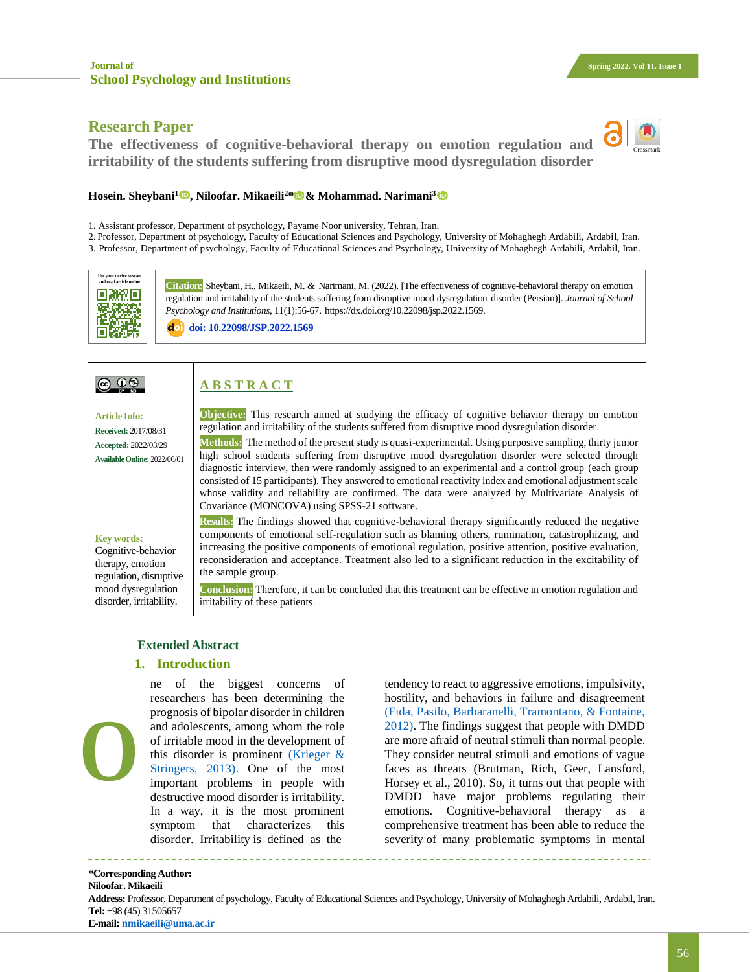## **Research Paper**

**The effectiveness of cognitive-behavioral therapy on emotion regulation and irritability of the students suffering from disruptive mood dysregulation disorder**



#### **Hosein. Sheybani<sup>1</sup>  [,](https://www.orcid.org/0000-0002-6333-6332) Niloofar. Mikaeili<sup>2</sup>\* & Mohammad. Narimani<sup>3</sup>**

- 1. Assistant professor, Department of psychology, Payame Noor university, Tehran, Iran.
- 2. Professor, Department of psychology, Faculty of Educational Sciences and Psychology, University of Mohaghegh Ardabili, Ardabil, Iran.
- 3. Professor, Department of psychology, Faculty of Educational Sciences and Psychology, University of Mohaghegh Ardabili, Ardabil, Iran.



**Citation:** Sheybani, H., Mikaeili, M. & Narimani, M. (2022). [The effectiveness of cognitive-behavioral therapy on emotion regulation and irritability of the students suffering from disruptive mood dysregulation disorder (Persian)]. *Journal of School Psychology and Institutions,* 11(1):56-67. https://dx.doi.org/10.22098/jsp.2022.1569.

**doi: [10.22098/JSP.2022.1569](http://jsp.uma.ac.ir/article_1569.html?lang=en)**

# $@@@@$

# **A B S T R A C T**

**Article Info: Received:** 2017/08/31 **Accepted:** 2022/03/29 **AvailableOnline:** 2022/06/01 **Objective:** This research aimed at studying the efficacy of cognitive behavior therapy on emotion regulation and irritability of the students suffered from disruptive mood dysregulation disorder.

**Methods:** The method of the present study is quasi-experimental. Using purposive sampling, thirty junior high school students suffering from disruptive mood dysregulation disorder were selected through diagnostic interview, then were randomly assigned to an experimental and a control group (each group consisted of 15 participants). They answered to emotional reactivity index and emotional adjustment scale whose validity and reliability are confirmed. The data were analyzed by Multivariate Analysis of Covariance (MONCOVA) using SPSS-21 software.

### **Key words:**

Cognitive-behavior therapy, emotion regulation, disruptive mood dysregulation disorder, irritability.

**Results:** The findings showed that cognitive-behavioral therapy significantly reduced the negative components of emotional self-regulation such as blaming others, rumination, catastrophizing, and increasing the positive components of emotional regulation, positive attention, positive evaluation, reconsideration and acceptance. Treatment also led to a significant reduction in the excitability of the sample group.

**Conclusion:** Therefore, it can be concluded that this treatment can be effective in emotion regulation and irritability of these patients.

### **Extended Abstract**

#### **1. Introduction**

ne of the biggest concerns of researchers has been determining the prognosis of bipolar disorder in children and adolescents, among whom the role of irritable mood in the development of this disorder is prominent [\(Krieger &](#page-10-0)  [Stringers, 2013\).](#page-10-0) One of the most important problems in people with destructive mood disorder is irritability. In a way, it is the most prominent symptom that characterizes this disorder. Irritability is defined as the **O**

tendency to react to aggressive emotions, impulsivity, hostility, and behaviors in failure and disagreement [\(Fida, Pasilo, Barbaranelli, Tramontano, & Fontaine,](#page-10-1)  [2012\).](#page-10-1) The findings suggest that people with DMDD are more afraid of neutral stimuli than normal people. They consider neutral stimuli and emotions of vague faces as threats (Brutman, Rich, Geer, Lansford, Horsey et al., 2010). So, it turns out that people with DMDD have major problems regulating their emotions. Cognitive-behavioral therapy as a comprehensive treatment has been able to reduce the severity of many problematic symptoms in mental

**\*Corresponding Author: Niloofar. Mikaeili** 

#### **Address:** Professor, Department of psychology, Faculty of Educational Sciences and Psychology, University of Mohaghegh Ardabili, Ardabil, Iran. **Tel:** +98 (45) 31505657 **E-mail: [nmikaeili@uma.ac.ir](mailto:nmikaeili@uma.ac.ir)**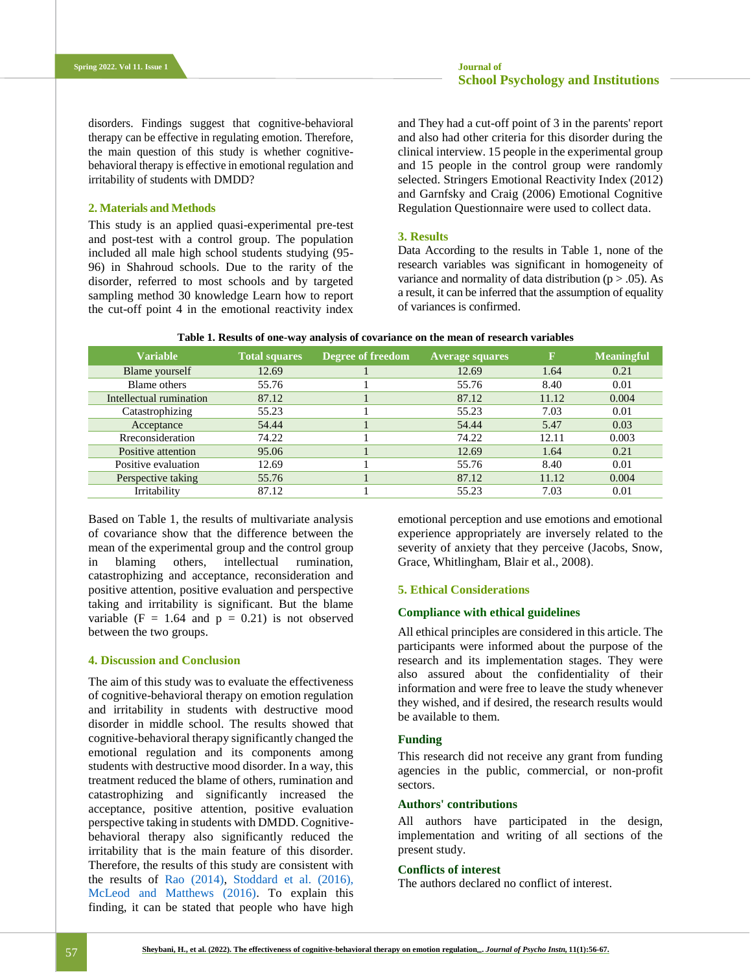disorders. Findings suggest that cognitive-behavioral therapy can be effective in regulating emotion. Therefore, the main question of this study is whether cognitivebehavioral therapy is effective in emotional regulation and irritability of students with DMDD?

### **2. Materials and Methods**

This study is an applied quasi-experimental pre-test and post-test with a control group. The population included all male high school students studying (95- 96) in Shahroud schools. Due to the rarity of the disorder, referred to most schools and by targeted sampling method 30 knowledge Learn how to report the cut-off point 4 in the emotional reactivity index and They had a cut-off point of 3 in the parents' report and also had other criteria for this disorder during the clinical interview. 15 people in the experimental group and 15 people in the control group were randomly selected. Stringers Emotional Reactivity Index (2012) and Garnfsky and Craig (2006) Emotional Cognitive Regulation Questionnaire were used to collect data.

#### **3. Results**

Data According to the results in Table 1, none of the research variables was significant in homogeneity of variance and normality of data distribution ( $p > .05$ ). As a result, it can be inferred that the assumption of equality of variances is confirmed.

| <b>Variable</b>         | <b>Total squares</b> | Degree of freedom | <b>Average squares</b> | F     | <b>Meaningful</b> |
|-------------------------|----------------------|-------------------|------------------------|-------|-------------------|
| Blame yourself          | 12.69                |                   | 12.69                  | 1.64  | 0.21              |
| Blame others            | 55.76                |                   | 55.76                  | 8.40  | 0.01              |
| Intellectual rumination | 87.12                |                   | 87.12                  | 11.12 | 0.004             |
| Catastrophizing         | 55.23                |                   | 55.23                  | 7.03  | 0.01              |
| Acceptance              | 54.44                |                   | 54.44                  | 5.47  | 0.03              |
| Rreconsideration        | 74.22                |                   | 74.22                  | 12.11 | 0.003             |
| Positive attention      | 95.06                |                   | 12.69                  | 1.64  | 0.21              |
| Positive evaluation     | 12.69                |                   | 55.76                  | 8.40  | 0.01              |
| Perspective taking      | 55.76                |                   | 87.12                  | 11.12 | 0.004             |
| Irritability            | 87.12                |                   | 55.23                  | 7.03  | 0.01              |

**Table 1. Results of one-way analysis of covariance on the mean of research variables**

Based on Table 1, the results of multivariate analysis of covariance show that the difference between the mean of the experimental group and the control group in blaming others, intellectual rumination, catastrophizing and acceptance, reconsideration and positive attention, positive evaluation and perspective taking and irritability is significant. But the blame variable  $(F = 1.64$  and  $p = 0.21)$  is not observed between the two groups.

### **4. Discussion and Conclusion**

The aim of this study was to evaluate the effectiveness of cognitive-behavioral therapy on emotion regulation and irritability in students with destructive mood disorder in middle school. The results showed that cognitive-behavioral therapy significantly changed the emotional regulation and its components among students with destructive mood disorder. In a way, this treatment reduced the blame of others, rumination and catastrophizing and significantly increased the acceptance, positive attention, positive evaluation perspective taking in students with DMDD. Cognitivebehavioral therapy also significantly reduced the irritability that is the main feature of this disorder. Therefore, the results of this study are consistent with the results of [Rao \(2014\),](#page-10-2) [Stoddard et al. \(2016\),](#page-11-0) [McLeod and Matthews \(2016\).](#page-10-3) To explain this finding, it can be stated that people who have high

emotional perception and use emotions and emotional experience appropriately are inversely related to the severity of anxiety that they perceive (Jacobs, Snow, Grace, Whitlingham, Blair et al., 2008).

#### **5. Ethical Considerations**

### **Compliance with ethical guidelines**

All ethical principles are considered in this article. The participants were informed about the purpose of the research and its implementation stages. They were also assured about the confidentiality of their information and were free to leave the study whenever they wished, and if desired, the research results would be available to them.

### **Funding**

This research did not receive any grant from funding agencies in the public, commercial, or non-profit sectors.

### **Authors' contributions**

All authors have participated in the design, implementation and writing of all sections of the present study.

### **Conflicts of interest**

The authors declared no conflict of interest.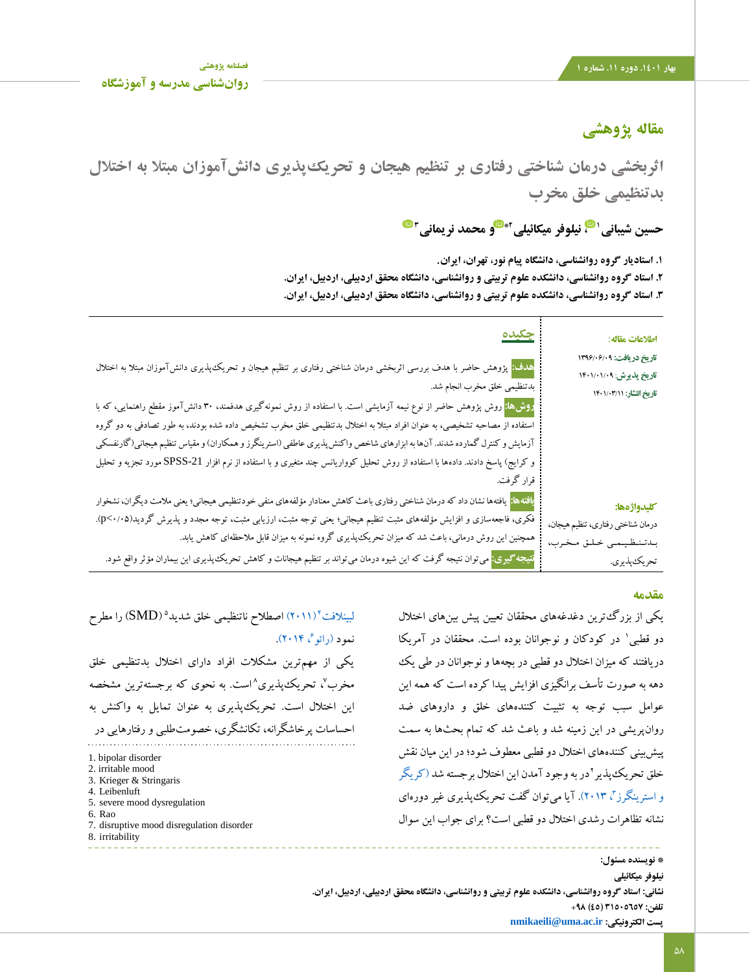# **مقاله پژوهشی**

**اثربخشی درمان شناختی رفتاری بر تنظیم هیجان و تحریکپذیری دانشآموزان مبتال به اختالل بدتنظیمی خلق مخرب**

 **[،](https://www.orcid.org/0000-0002-6333-6332) نیلوفر میکائیلی <sup>1</sup> حسین شیبانی و محمد نریمانی 2\* 3**

**.1 استادیار گروه روانشناسی، دانشگاه پیام نور، تهران، ایران**. **.2 استاد گروه روانشناسی، دانشکده علوم تربیتی و روانشناسی، دانشگاه محقق اردبیلی، اردبیل، ایران. .3 استاد گروه روانشناسی، دانشکده علوم تربیتی و روانشناسی، دانشگاه محقق اردبیلی، اردبیل، ایران.**

| <u>چکیده</u>                                                                                                                                                                                                                                                                                                                                                                                                                                                                                                                               | اطلاعات مقاله:                                                                         |
|--------------------------------------------------------------------------------------------------------------------------------------------------------------------------------------------------------------------------------------------------------------------------------------------------------------------------------------------------------------------------------------------------------------------------------------------------------------------------------------------------------------------------------------------|----------------------------------------------------------------------------------------|
| <mark>هدف:</mark> پژوهش حاضر با هدف بررسی اثربخشی درمان شناختی رفتاری بر تنظیم هیجان و تحریک¢پذیری دانشآموزان مبتلا به اختلال<br>: بدتنظیمی خلق مخرب انجام شد.                                                                                                                                                                                                                                                                                                                                                                             | تاریخ دریافت: ۱۳۹۶/۰۶/۰۹<br>تاريخ پذيرش: ١۴٠١/٠١/٠٩<br>تاريخ انتشار: ١٤٠١/٠٣/١٨        |
| <mark>روش&amp;ا:</mark> روش پژوهش حاضر از نوع نیمه آزمایشی است. با استفاده از روش نمونهگیری هدفمند، ۳۰ دانشآموز مقطع راهنمایی، که با<br>استفاده از مصاحبه تشخیصی، به عنوان افراد مبتلا به اختلال بدتنظیمی خلق مخرب تشخیص داده شده بودند، به طور تصادفی به دو گروه<br>آزمایش و کنترل گمارده شدند. آنها به ابزارهای شاخص واکنش پذیری عاطفی (استرینگرز و همکاران) و مقیاس تنظیم هیجانی(گارنفسکی<br>و کرایج) پاسخ دادند. دادهها با استفاده از روش تحلیل کوواریانس چند متغیری و با استفاده از نرم افزار SPSS-21مورد تجزیه و تحلیل<br>قرار گرفت. |                                                                                        |
| <mark>یافتهها:</mark> یافتهها نشان داد که درمان شناختی رفتاری باعث کاهش معنادار مؤلفههای منفی خودتنظیمی هیجانی؛ یعنی ملامت دیگران، نشخوار<br>فکری، فاجعهسازی و افزایش مؤلفههای مثبت تنظیم هیجانی؛ یعنی توجه مثبت، ارزیابی مثبت، توجه مجدد و پذیرش گردید(۲۰٬۰۵).<br>همچنین این روش درمانی، باعث شد که میزان تحریک پذیری گروه نمونه به میزان قابل ملاحظهای کاهش یابد.<br><mark>نتیجه گیری:</mark> میتوان نتیجه گرفت که این شیوه درمان می تواند بر تنظیم هیجانات و کاهش تحریک پذیری این بیماران مؤثر واقع شود.                                | كليدواژهها:<br>درمان شناختي رفتاري، تنظيم هيجان،<br>بدتنظيمي خلق مخرب،<br>تحريك پذيري. |

### **مقدمه**

یکی از بزرگترین دغدغههای محققان تعیین پیش بینهای اختالل 1 دو قطبی در کودکان و نوجوانان بوده است. محققان در آمریکا دریافتند که میزان اختالل دو قطبی در بچهها و نوجوانان در طی یک دهه به صورت تأسف برانگیزی افزایش پیدا کرده است که همه این عوامل سبب توجه به تثبیت کنندههای خلق و داروهای ضد روانپریشی در این زمینه شد و باعث شد که تمام بحثها به سمت پیشبینی کنندههای اختالل دو قطبی معطوف شود؛ در این میان نقش خلق تحریک پذیر 'در به وجود آمدن این اختلال برجسته شد (کریگر [و استرینگرز](#page-10-0)"، ۲۰۱۳). آیا میتوان گفت تحریکپذیری غیر دورهای نشانه تظاهرات رشدی اختالل دو قطبی است؟ برای جواب این سوال

لبینلافت<sup>6</sup>(۲۰۱۱) اصطلاح ناتنظیمی خلق شدید<sup>ه</sup> (SMD) را مطرح نمود (رائو $^3$  ۲۰۱۴). یکی از مهمترین مشکالت افراد دارای اختالل بدتنظیمی خلق مخرب٬ تحریک،پذیری^است. به نحوی که برجستهترین مشخصه این اختالل است. تحریکپذیری به عنوان تمایل به واکنش به احساسات پرخاشگرانه، تکانشگری، خصومتطلبی و رفتارهایی در 1. bipolar disorder 2. irritable mood

- 
- 3. Krieger & Stringaris
- 4. Leibenluft
- 5. severe mood dysregulation
- 6. Rao
- 7. disruptive mood disregulation disorder
- 8. irritability

**\* نویسنده مسئول: نیلوفر میکائیلی نشانی: استاد گروه روانشناسی، دانشکده علوم تربیتی و روانشناسی، دانشگاه محقق اردبیلی، اردبیل، ایران. تلفن: 31505657 )45( +98 [nmikaeili@uma.ac.ir](mailto:nmikaeili@uma.ac.ir) :الکترونیکی پست**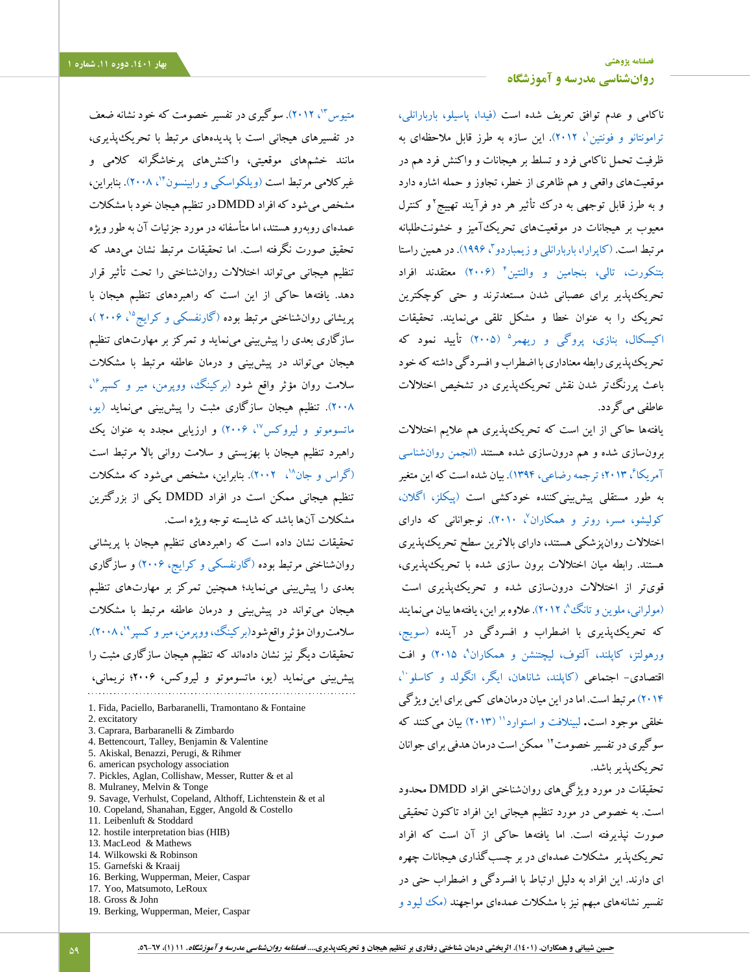ناکامی و عدم توافق تعریف شده است [\)فیدا، پاسیلو، باربارانلی،](#page-10-1)  [ترامونتانو و فونتین](#page-10-1)'، ۲۰۱۲). این سازه به طرز قابل ملاحظهای به ظرفیت تحمل ناکامی فرد و تسلط بر هیجانات و واکنش فرد هم در موقعیتهای واقعی و هم ظاهری از خطر، تجاوز و حمله اشاره دارد و به طرز قابل توجهی به درک تأثیر هر دو فرآیند تهییج ٔ و کنترل معیوب بر هیجانات در موقعیتهای تحریکآمیز و خشونتطلبانه مرتبط است. (کاپرارا، باربارانلی و زیمباردو"، ۱۹۹۶). <mark>در همین راستا</mark> [بتنکورت، تالی، بنجامین و والنتین](#page-9-1)<sup>۴</sup> (۲۰۰۶) معتقدند افراد تحریکپذیر برای عصبانی شدن مستعدترند و حتی کوچکترین تحریک را به عنوان خطا و مشکل تلقی مینمایند. تحقیقات [اکیسکال، بنازی، پروگی و ریهمر](#page-9-2)<sup>ه</sup> (۲۰۰۵) تأیید نمود که تحریکپذیری رابطه معناداری با اضطراب و افسردگی داشته که خود باعث پررنگتر شدن نقش تحریکپذیری در تشخیص اختالالت عاطفی میگردد.

یافتهها حاکی از این است که تحریکپذیری هم عالیم اختالالت برونسازی شده و هم درونسازی شده هستند [\)انجمن روانشناسی](#page-9-3)  6 آمریکا [، 2013؛ ترجمه رضاعی، 1394\(.](#page-9-3) بیان شده است که این متغیر به طور مستقلی پیشبینیکننده خودکشی است [\)پیکلز، اگالن،](#page-10-5)  [کولیشو، مسر، روتر و همکاران](#page-10-5)<sup>۷</sup>، ۲۰۱۰). نوجوانانی که دارای اختالالت روانپزشکی هستند، دارای باالترین سطح تحریکپذیری هستند. رابطه میان اختالالت برون سازی شده با تحریکپذیری، قویتر از اختالالت درونسازی شده و تحریکپذیری اس[ت](#page-10-6) (مولرانی، ملوین و تانگُ'، ۲۰۱۲). علاوه بر این، یافتهها بیان مینمایند که تحریکپذیری با اضطراب و افسردگی در آینده [\)سویج،](#page-11-1)  [ورهولتز، کاپلند، آلتوف، لیچتنشن و همکاران](#page-11-1)<sup>۹</sup>، ۲۰۱۵) و افت اقتصادی– اجتماعی (کاپلند، شاناهان، ایگر، انگولد و کاسلو``، [2014\(](#page-10-7) مرتبط است. اما در این میان درمانهای کمی برای این ویژگی )2013( بیان میکنند که <sup>11</sup> خلقی موجود است**.** [لبینالفت و استوارد](#page-10-8) سوگیری در تفسیر خصومت ۱٬ ممکن است درمان هدفی برای جوانان تحریکپذیر باشد.

تحقیقات در مورد ویژگیهای روانشناختی افراد DMDD محدود است. به خصوص در مورد تنظیم هیجانی این افراد تاکنون تحقیقی صورت نپذیرفته است. اما یافتهها حاکی از آن است که افراد تحریکپذیر مشکالت عمدهای در بر چسبگذاری هیجانات چهره ای دارند. این افراد به دلیل ارتباط با افسردگی و اضطراب حتی در تفسیر نشانههای مبهم نیز با مشکالت عمدهای مواجهند [\)مک لیود و](#page-10-3) 

متیوس "ا، ۲۰۱۲). سوگیری در تفسیر خصومت که خود نشانه ضعف در تفسیرهای هیجانی است با پدیدههای مرتبط با تحریکپذیری، مانند خشمهای موقعیتی، واکنشهای پرخاشگرانه کالمی و غیرکلامی مرتبط است (ویلکواسکی و رابینسون<sup>۱۴</sup>، ۲۰۰۸). بنابراین، مشخص میشود که افراد DMDD در تنظیم هیجان خود با مشکالت عمدهای روبهرو هستند، اما متأسفانه در مورد جزئیات آن به طور ویژه تحقیق صورت نگرفته است. اما تحقیقات مرتبط نشان میدهد که تنظیم هیجانی میتواند اختالالت روانشناختی را تحت تأثیر قرار دهد. یافتهها حاکی از این است که راهبردهای تنظیم هیجان با پریشانی روان شناختی مرتبط بوده (گارنفسکی و کرایج<sup>۱</sup>۵، ۲۰۰۶)، سازگاری بعدی را پیشبینی مینماید و تمرکز بر مهارتهای تنظیم هیجان میتواند در پیشبینی و درمان عاطفه مرتبط با مشکالت سلامت روان مؤثر واقع شود (برکینگ، ووپرمن، میر و کسپر<sup>۱۶</sup>، [2008\(.](#page-9-4) تنظیم هیجان سازگاری مثبت را پیشبینی مینماید [\)یو،](#page-11-3)  ماتسوموتو [و لیروکس](#page-11-3)<sup>۷</sup>، ۲۰۰۶) و ارزیابی مجدد به عنوان یک راهبرد تنظیم هیجان با بهزیستی و سالمت روانی باال مرتبط است ، 2002(. بنابراین، مشخص میشود که مشکالت <sup>18</sup> [\)گراس و جان](#page-10-10) تنظیم هیجانی ممکن است در افراد DMDD یکی از بزرگترین مشکالت آنها باشد که شایسته توجه ویژه است.

تحقیقات نشان داده است که راهبردهای تنظیم هیجان با پریشانی روانشناختی مرتبط بوده [\)گارنفسکی و کرایج، 2006\(](#page-10-9) و سازگاری بعدی را پیشبینی مینماید؛ همچنین تمرکز بر مهارتهای تنظیم هیجان میتواند در پیشبینی و درمان عاطفه مرتبط با مشکالت سلامت٫وان مؤثر واقعشود(برکینگ، ووپرمن، میر و کسپر°`، ۲۰۰۸). تحقیقات دیگر نیز نشان دادهاند که تنظیم هیجان سازگاری مثبت را پیشبینی مینماید )یو، ماتسوموتو و لیروکس، 2006؛ نریمانی،

1. Fida, Paciello, Barbaranelli, Tramontano & Fontaine 2. excitatory 3. Caprara, Barbaranelli & Zimbardo 4. Bettencourt, Talley, Benjamin & Valentine 5. Akiskal, Benazzi, Perugi, & Rihmer 6. american psychology association 7. Pickles, Aglan, Collishaw, Messer, Rutter & et al 8. Mulraney, Melvin & Tonge 9. Savage, Verhulst, Copeland, Althoff, Lichtenstein & et al 10. Copeland, Shanahan, Egger, Angold & Costello 11. Leibenluft & Stoddard 12. hostile interpretation bias (HIB) 13. MacLeod & Mathews 14. Wilkowski & Robinson 15. Garnefski & Kraaij 16. Berking, Wupperman, Meier, Caspar 17. Yoo, Matsumoto, LeRoux 18. Gross & John 19. Berking, Wupperman, Meier, Caspar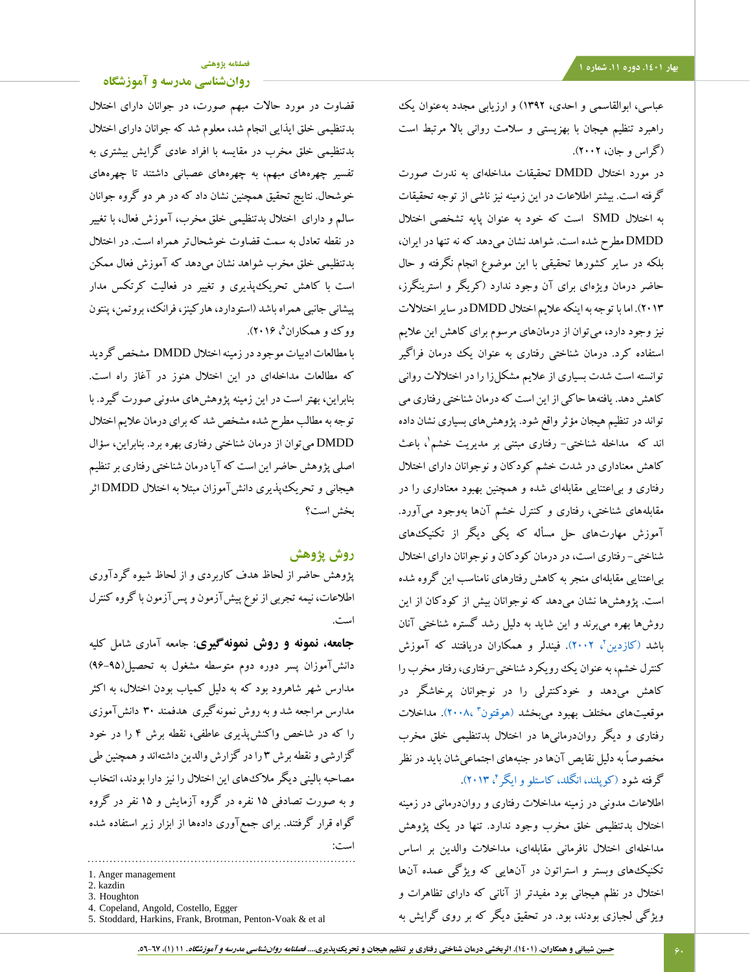# **[فصلنامه پژوهشی](http://jsp.uma.ac.ir/)**

# **[روانشناسی مدرسه و آموزشگاه](http://jsp.uma.ac.ir/)**

قضاوت در مورد حاالت مبهم صورت، در جوانان دارای اختالل بدتنظیمی خلق ایذایی انجام شد، معلوم شد که جوانان دارای اختالل بدتنظیمی خلق مخرب در مقایسه با افراد عادی گرایش بیشتری به تفسیر چهرههای مبهم، به چهرههای عصبانی داشتند تا چهرههای خوشحال. نتایج تحقیق همچنین نشان داد که در هر دو گروه جوانان سالم و دارای اختالل بدتنظیمی خلق مخرب، آموزش فعال، با تغییر در نقطه تعادل به سمت قضاوت خوشحالتر همراه است. در اختالل بدتنظیمی خلق مخرب شواهد نشان میدهد که آموزش فعال ممکن است با کاهش تحریکپذیری و تغییر در فعالیت کرتکس مدار پیشانی جانبی همراه باشد )استودارد، هارکینز، فرانک، بروتمن، پنتون ووک و همکاران<sup>۵</sup>، ۲۰۱۶).

با مطالعات ادبیات موجود در زمینه اختالل DMDD مشخص گردید که مطالعات مداخلهای در این اختالل هنوز در آغاز راه است. بنابراین، بهتر است در این زمینه پژوهشهای مدونی صورت گیرد. با توجه به مطالب مطرح شده مشخص شد که برای درمان عالیم اختالل DMDD میتوان از درمان شناختی رفتاری بهره برد. بنابراین، سؤال اصلی پژوهش حاضر این است که آیا درمان شناختی رفتاری بر تنظیم هیجانی و تحریکپذیری دانشآموزان مبتال به اختالل DMDD اثر بخش است؟

# **روش پژوهش**

پژوهش حاضر از لحاظ هدف کاربردی و از لحاظ شیوه گردآوری اطالعات، نیمه تجربی از نوع پیشآزمون و پسآزمون با گروه کنترل است.

**جامعه، نمونه و روش نمونهگیری**: جامعه آماری شامل کلیه دانشآموزان پسر دوره دوم متوسطه مشغول به تحصیل)96-95( مدارس شهر شاهرود بود که به دلیل کمیاب بودن اختالل، به اکثر مدارس مراجعه شد و به روش نمونهگیری هدفمند 30 دانشآموزی را که در شاخص واکنشپذیری عاطفی، نقطه برش 4 را در خود گزارشی و نقطه برش 3 را در گزارش والدین داشتهاند و همچنین طی مصاحبه بالینی دیگر مالکهای این اختالل را نیز دارا بودند، انتخاب و به صورت تصادفی 15 نفره در گروه آزمایش و 15 نفر در گروه گواه قرار گرفتند. برای جمعآوری دادهها از ابزار زیر استفاده شده است:

عباسی، ابوالقاسمی و احدی، 1392( و ارزیابی مجدد بهعنوان یک راهبرد تنظیم هیجان با بهزیستی و سالمت روانی باال مرتبط است )گراس و جان، 2002(.

در مورد اختالل DMDD تحقیقات مداخلهای به ندرت صورت گرفته است. بیشتر اطالعات در این زمینه نیز ناشی از توجه تحقیقات به اختالل SMD است که خود به عنوان پایه تشخصی اختالل DMDD مطرح شده است. شواهد نشان میدهد که نه تنها در ایران، بلکه در سایر کشورها تحقیقی با این موضوع انجام نگرفته و حال حاضر درمان ویژهای برای آن وجود ندارد )کریگر و استرینگرز، 2013(. اما با توجه به اینکه عالیم اختالل DMDD در سایر اختالالت نیز وجود دارد، میتوان از درمانهای مرسوم برای کاهش این عالیم استفاده کرد. درمان شناختی رفتاری به عنوان یک درمان فراگیر توانسته است شدت بسیاری از عالیم مشکلزا را در اختالالت روانی کاهش دهد. یافتهها حاکی از این است که درمان شناختی رفتاری می تواند در تنظیم هیجان مؤثر واقع شود. پژوهشهای بسیاری نشان داده اند که ً مداخله شناختی- رفتاری مبتنی بر مدیریت خشم ْ، باعث کاهش معناداری در شدت خشم کودکان و نوجوانان دارای اختالل رفتاری و بیاعتنایی مقابلهای شده و همچنین بهبود معناداری را در مقابلههای شناختی، رفتاری و کنترل خشم آنها بهوجود میآورد. آموزش مهارتهای حل مسأله که یکی دیگر از تکنیکهای شناختی- رفتاری است، در درمان کودکان و نوجوانان دارای اختالل بیاعتنایی مقابلهای منجر به کاهش رفتارهای نامناسب این گروه شده است. پژوهشها نشان میدهد که نوجوانان بیش از کودکان از این روشها بهره میبرند و این شاید به دلیل رشد گستره شناختی آنان باشد (کازدین'، ۲۰۰۲). فیندلر و همکاران دریافتند که آموزش کنترل خشم، به عنوان یک رویکرد شناختی-رفتاری، رفتار مخرب را کاهش میدهد و خودکنترلی را در نوجوانان پرخاشگر در موقعیتهای مختلف بهبود میبخشد (هوقتون<sup>۳</sup> ،۲۰۰۸). مداخلات رفتاری و دیگر رواندرمانیها در اختالل بدتنظیمی خلق مخرب مخصوصاً به دلیل نقایص آنها در جنبههای اجتماعیشان باید در نظر

گرفته شو[د](#page-9-5) (کوپلند، انگلد، کاستلو و ایگر<sup>ام</sup>، ۲۰۱۳). اطالعات مدونی در زمینه مداخالت رفتاری و رواندرمانی در زمینه اختالل بدتنظیمی خلق مخرب وجود ندارد. تنها در یک پژوهش مداخلهای اختالل نافرمانی مقابلهای، مداخالت والدین بر اساس تکنیکهای وبستر و استراتون در آنهایی که ویژگی عمده آنها اختالل در نظم هیجانی بود مفیدتر از آنانی که دارای تظاهرات و ویژگی لجبازی بودند، بود. در تحقیق دیگر که بر روی گرایش به

<sup>1.</sup> Anger management

<sup>2.</sup> kazdin

<sup>3.</sup> Houghton

<sup>4.</sup> Copeland, Angold, Costello, Egger

<sup>5.</sup> Stoddard, Harkins, Frank, Brotman, Penton-Voak & et al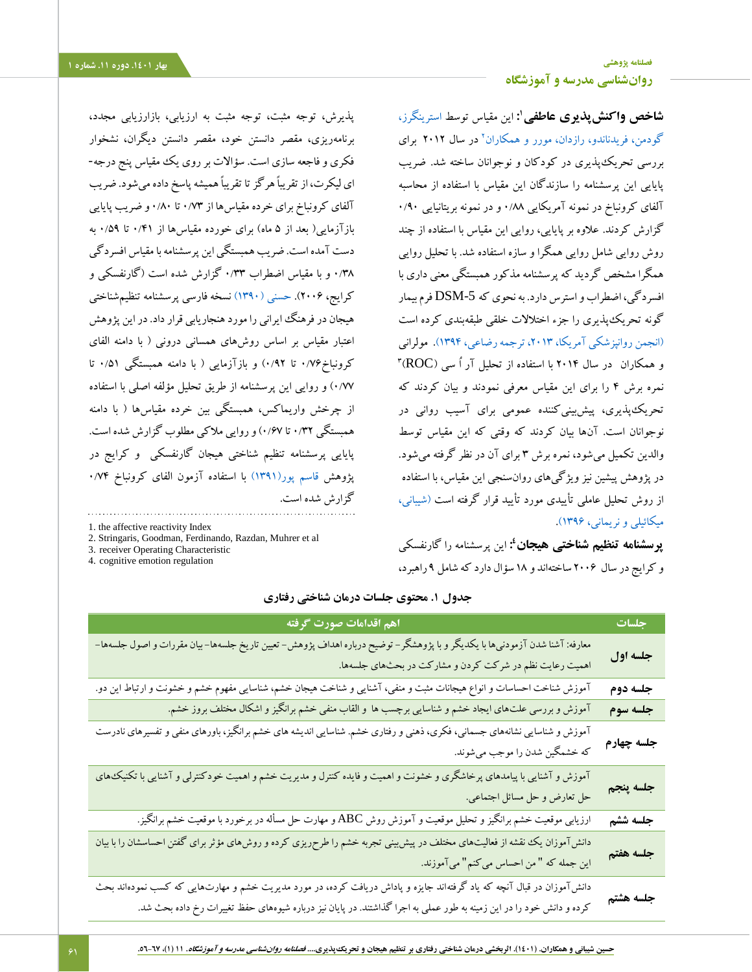**[فصلنامه پژوهشی](http://jsp.uma.ac.ir/) بهار .1401 دوره .11 شماره 1 [روانشناسی مدرسه و آموزشگاه](http://jsp.uma.ac.ir/)**

> **1 شاخص واکنشپذیری عاطفی :** این مقیاس توسط [استرینگرز،](#page-11-4)  [گودمن، فریدناندو، رازدان، مورر و همکاران](#page-11-4)<sup>۲</sup> در سال ۲۰۱۲ برای بررسی تحریکپذیری در کودکان و نوجوانان ساخته شد. ضریب پایایی این پرسشنامه را سازندگان این مقیاس با استفاده از محاسبه آلفای کرونباخ در نمونه آمریکایی 0/88 و در نمونه بریتانیایی 0/90 گزارش کردند. عالوه بر پایایی، روایی این مقیاس با استفاده از چند روش روایی شامل روایی همگرا و سازه استفاده شد. با تحلیل روایی همگرا مشخص گردید که پرسشنامه مذکور همبستگی معنی داری با افسردگی، اضطراب و استرس دارد. به نحوی که DSM-5 فرم بیمار گونه تحریکپذیری را جزء اختالالت خلقی طبقهبندی کرده است (انجمن روانپزشکی آمریکا، ۲۰۱۳، ترجمه رضاعی، ۱۳۹۴). مولرانی 3 و همکاران در سال 2014 با استفاده از تحلیل آر اُ سی )ROC) نمره برش 4 را برای این مقیاس معرفی نمودند و بیان کردند که تحریکپذیری، پیشبینیکننده عمومی برای آسیب روانی در نوجوانان است. آنها بیان کردند که وقتی که این مقیاس توسط والدین تکمیل میشود، نمره برش 3 برای آن در نظر گرفته میشود. در پژوهش پیشین نیز ویژگیهای روانسنجی این مقیاس، با استفاده از روش تحلیل عاملی تأییدی مورد تأیید قرار گرفته است [\)شیبانی،](#page-9-6)  [میکائیلی و نریمانی، 1396\(.](#page-9-6)

> **4 پرسشنامه تنظیم شناختی هیجان :** این پرسشنامه را گارنفسکی و کرایج در سال 2006 ساختهاند و 18 سؤال دارد که شامل 9 راهبرد،

پذیرش، توجه مثبت، توجه مثبت به ارزیابی، بازارزیابی مجدد، برنامهریزی، مقصر دانستن خود، مقصر دانستن دیگران، نشخوار فکری و فاجعه سازی است. سؤاالت بر روی یک مقیاس پنج درجه- ای لیکرت، از تقریباً هرگز تا تقریباً همیشه پاسخ داده میشود. ضریب آلفای کرونباخ برای خرده مقیاسها از 0/73 تا 0/80 و ضریب پایایی بازآزمایی( بعد از ۵ ماه) برای خورده مقیاسها از ۰/۴۱ تا ۰/۵۹ به دست آمده است. ضریب همبستگی این پرسشنامه با مقیاس افسردگی 0/38 و با مقیاس اضطراب 0/33 گزارش شده است )گارنفسکی و کرایج، 2006(. [حسنی \)1390\(](#page-9-7) نسخه فارسی پرسشنامه تنظیمشناختی هیجان در فرهنگ ایرانی را مورد هنجاریابی قرار داد. در این پژوهش اعتبار مقیاس بر اساس روشهای همسانی درونی ) با دامنه الفای کرونباخ1/8 $\cdot$ 76 تا ۰/۹۲) و بازآزمایی ( با دامنه همبستگی ۵۱/۰ تا 0/77( و روایی این پرسشنامه از طریق تحلیل مؤلفه اصلی با استفاده از چرخش واریماکس، همبستگی بین خرده مقیاسها ) با دامنه همبستگی 0/32 تا 0/67( و روایی مالکی مطلوب گزارش شده است. پایایی پرسشنامه تنظیم شناختی هیجان گارنفسکی و کرایج در پژوهش [قاسم پور\)1391\(](#page-9-8) با استفاده آزمون الفای کرونباخ 0/74 گزارش شده است.

1. the affective reactivity Index

- 2. Stringaris, Goodman, Ferdinando, Razdan, Muhrer et al
- 3. receiver Operating Characteristic

4. cognitive emotion regulation

| اهم اقدامات صورت گرفته                                                                                                                                                                                                                        | جلسات           |
|-----------------------------------------------------------------------------------------------------------------------------------------------------------------------------------------------------------------------------------------------|-----------------|
| معارفه: آشنا شدن آزمودنیها با یکدیگر و با پژوهشگر– توضیح درباره اهداف پژوهش– تعیین تاریخ جلسهها–بیان مقررات و اصول جلسهها–<br>اهمیت رعایت نظم در شرکت کردن و مشارکت در بحثهای جلسهها.                                                         | جلسه اول        |
| آموزش شناخت احساسات و انواع هیجانات مثبت و منفی، آشنایی و شناخت هیجان خشم، شناسایی مفهوم خشم و خشونت و ارتباط این دو.                                                                                                                         | ۔<br>جلسه دوم   |
| آموزش و بررسی علتهای ایجاد خشم و شناسایی برچسب ها و القاب منفی خشم برانگیز و اشکال مختلف بروز خشم.                                                                                                                                            | جلسه سوم        |
| آموزش و شناسایی نشانههای جسمانی، فکری، ذهنی و رفتاری خشم. شناسایی اندیشه های خشم برانگیز، باورهای منفی و تفسیرهای نادرست<br>که خشمگین شدن را موجب میشوند.                                                                                     | ۔<br>جلسه چهارم |
| آموزش و آشنایی با پیامدهای پرخاشگری و خشونت و اهمیت و فایده کنترل و مدیریت خشم و اهمیت خودکنترلی و آشنایی با تکنیک&ای<br>حل تعارض و حل مسائل اجتماعی.                                                                                         | جلسه پنجم       |
| ارزیابی موقعیت خشم برانگیز و تحلیل موقعیت و آموزش روش ABC و مهارت حل مسأله در برخورد با موقعیت خشم برانگیز.                                                                                                                                   | ۔<br>جلسه ششم   |
| دانشآموزان یک نقشه از فعالیتهای مختلف در پیش بینی تجربه خشم را طرحریزی کرده و روشهای مؤثر برای گفتن احساسشان را با بیان<br>این جمله که " من احساس می کنم" میآموزند.                                                                           | ۔<br>جلسه هفتم  |
| دانشآموزان در قبال آنچه که یاد گرفتهاند جایزه و پاداش دریافت کرده، در مورد مدیریت خشم و مهارتهایی که کسب نمودهاند بحث<br>کرده و دانش خود را در این زمینه به طور عملی به اجرا گذاشتند. در پایان نیز درباره شیوههای حفظ تغییرات رخ داده بحث شد. | جلسه هشتم       |

#### **جدول .1 محتوی جلسات درمان شناختی رفتاری**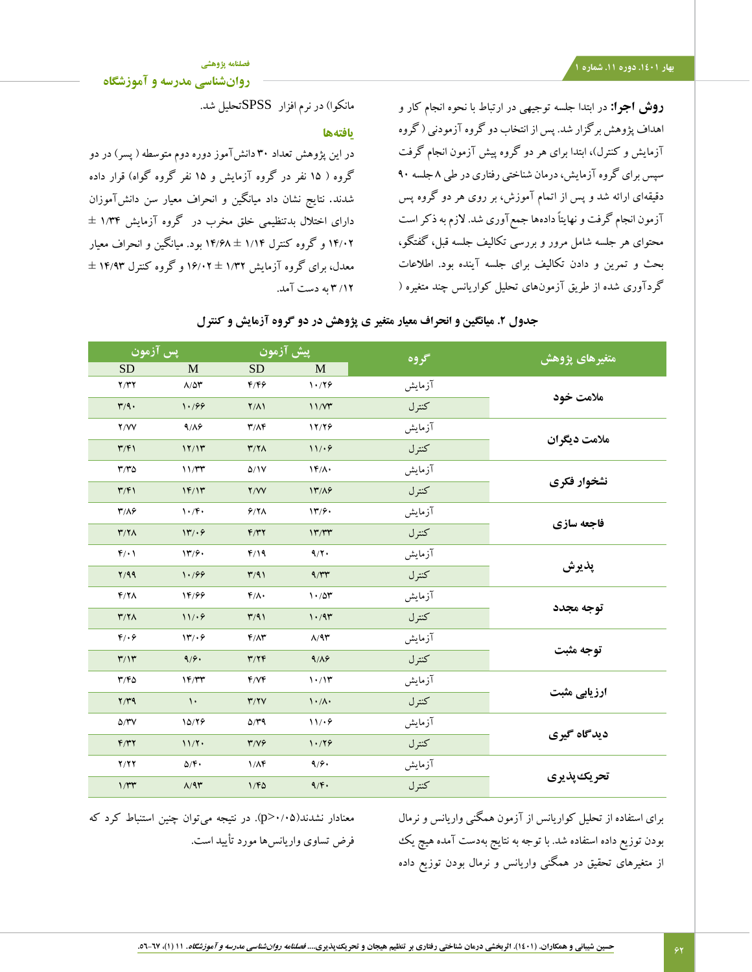## **بهار .1401 دوره .11 شماره 1**

**[فصلنامه پژوهشی](http://jsp.uma.ac.ir/)**

**[روانشناسی مدرسه و آموزشگاه](http://jsp.uma.ac.ir/)**

**روش اجرا:** در ابتدا جلسه توجیهی در ارتباط با نحوه انجام کار و اهداف پژوهش برگزار شد. پس از انتخاب دو گروه آزمودنی ) گروه آزمایش و کنترل)، ابتدا برای هر دو گروه پیش آزمون انجام گرفت سپس برای گروه آزمایش، درمان شناختی رفتاری در طی 8 جلسه 90 دقیقهای ارائه شد و پس از اتمام آموزش، بر روی هر دو گروه پس آزمون انجام گرفت و نهایتاً دادهها جمعآوری شد. الزم به ذکر است محتوای هر جلسه شامل مرور و بررسی تکالیف جلسه قبل، گفتگو، بحث و تمرین و دادن تکالیف برای جلسه آینده بود. اطالعات گردآوری شده از طریق آزمونهای تحلیل کواریانس چند متغیره )

مانکوا) در نرم افزار SPSSتحلیل شد.

## **یافتهها**

در این پژوهش تعداد ۳۰ دانشآموز دوره دوم متوسطه ( پسر) در دو گروه ( ۱۵ نفر در گروه آزمایش و ۱۵ نفر گروه گواه) قرار داده شدند. نتایج نشان داد میانگین و انحراف معیار سن دانشآموزان دارای اختالل بدتنظیمی خلق مخرب در گروه آزمایش 1/34 ± 14/02 و گروه کنترل 1/14 ± 14/68 بود. میانگین و انحراف معیار معدل، برای گروه آزمایش 1/32 ± 16/02 و گروه کنترل 14/93 ± /12 3 به دست آمد.

| ِیس آزمون                 |                                 | پیش آزمون                         |                                   | گروه   | متغیرهای پژوهش |  |
|---------------------------|---------------------------------|-----------------------------------|-----------------------------------|--------|----------------|--|
| <b>SD</b>                 | M                               | <b>SD</b>                         | M                                 |        |                |  |
| Y/YY                      | $\Lambda/\Delta \Upsilon$       | F/FF                              | 1.79                              | آزمايش | ملامت خود      |  |
| $\mathbf{r}/\mathbf{q}$ . | 1.199                           | $Y/\Lambda$                       | 11/Y                              | كنترل  |                |  |
| Y/VV                      | 9/19                            | $\mathbf{r}/\mathbf{A}\mathbf{r}$ | 17/78                             | آزمايش |                |  |
| $\mathbf{r}/\mathbf{r}$   | 17/17                           | $Y/Y\wedge$                       | 11/49                             | كنترل  | ملامت دیگران   |  |
| T/T                       | 11/TT                           | $\Delta/1V$                       | $\mathcal{N}(\Lambda)$            | آزمايش |                |  |
| $\mathbf{r}/\mathbf{r}$   | 1F/1T                           | Y/VV                              | 14/19                             | كنترل  | نشخوار فكرى    |  |
| $\mathbf{r}/\mathbf{A}$   | $\mathcal{N} \cdot \mathcal{F}$ | 9/8 <sub>A</sub>                  | $\mathcal{W}/\mathcal{P}$         | آزمايش |                |  |
| $\mathbf{r}/\mathbf{r}$   | 14.9                            | F/TY                              | 1777                              | كنترل  | فاجعه سازي     |  |
| $f(\cdot)$                | 14.9.                           | F/19                              | 9/7.                              | آزمايش |                |  |
| Y/99                      | 1.199                           | T/91                              | 9/TT                              | كنترل  | يذيرش          |  |
| Y/X                       | 14/99                           | $f/\Lambda$                       | 1.70                              | آزمايش |                |  |
| Y/Y                       | 11/49                           | T/91                              | 1.79                              | كنترل  | توجه مجدد      |  |
| $f/\cdot f$               | 14/9                            | $F/ \Lambda r$                    | $\Lambda/9$ ۳                     | آزمايش |                |  |
| $\mathbf{r}/\mathbf{v}$   | 9/9.                            | T/Y                               | 9/19                              | كنترل  | توجه مثبت      |  |
| T/FQ                      | 1F/TT                           | f/Vf                              | 1.11                              | آزمايش |                |  |
| $Y/Y$ ۹                   | $\mathcal{L}$                   | Y/Y                               | $\mathcal{N} \cdot / \mathcal{N}$ | كنترل  | ارزیابے مثبت   |  |
| $\Delta/\Upsilon V$       | 10/19                           | $\Delta/\Upsilon$ 9               | 11/49                             | آزمايش |                |  |
| F/TY                      | 11/7                            | T/V                               | 1.79                              | كنترل  | ديدگاه گيري    |  |
| Y/YY                      | $\Delta/\mathfrak{F}$ .         | $1/\Lambda$ ۴                     | 9/9.                              | آزمايش |                |  |
| $1/\tau\tau$              | $\Lambda/9$ ۳                   | 1/FQ                              | $9/\mathfrak{F}$                  | كنترل  | تحريك يذيري    |  |

# **جدول .2 میانگین و انحراف معیار متغیر ی پژوهش در دو گروه آزمایش و کنترل**

معنادار نشدند)0/05<p). در نتیجه میتوان چنین استنباط کرد که فرض تساوی واریانسها مورد تأیید است.

برای استفاده از تحلیل کواریانس از آزمون همگنی واریانس و نرمال بودن توزیع داده استفاده شد. با توجه به نتایج بهدست آمده هیچ یک از متغیرهای تحقیق در همگنی واریانس و نرمال بودن توزیع داده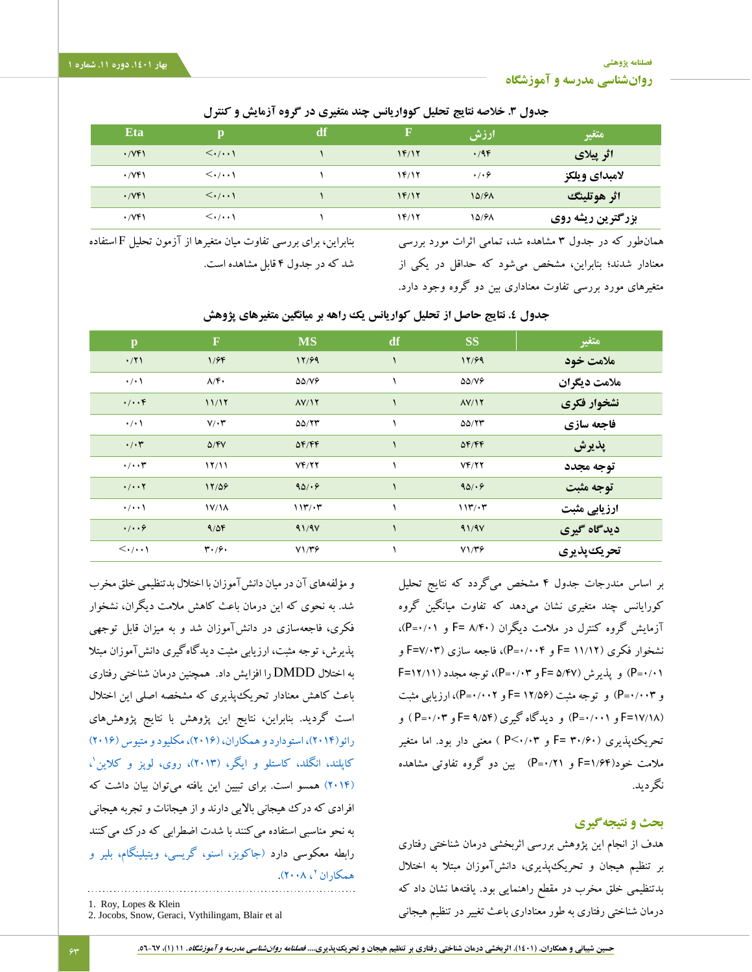**[فصلنامه پژوهشی](http://jsp.uma.ac.ir/) [روانشناسی مدرسه و آموزشگاه](http://jsp.uma.ac.ir/)**

**بهار .1401 دوره .11 شماره 1**

l

## **جدول .3 خالصه نتایج تحلیل کوواریانس چند متغیری در گروه آزمایش و کنترل**

| <b>Eta</b>                             | Ď                                  | df | F     | ارزش                | متغير             |
|----------------------------------------|------------------------------------|----|-------|---------------------|-------------------|
| $\cdot$ / $\vee$ $\uparrow$ $\uparrow$ | $\langle \cdot/\cdot\cdot\rangle$  |    | 1F/17 | .49                 | اثر پیلای         |
| $\cdot$ /VF)                           | $\langle \cdot/\cdot\cdot\rangle$  |    | 14/12 | $\cdot$ / $\cdot$ 6 | لامبداي ويلكز     |
| $\cdot$ / $\vee$ $\uparrow$ $\uparrow$ | $\langle \cdot/\cdot\cdot \rangle$ |    | 1F/17 | 10/91               | اثر هوتلينگ       |
| $\cdot$ /VF)                           | $\langle \cdot/\cdot\cdot \rangle$ |    | 14/12 | 10/91               | بزرگترین ریشه روی |

همانطور که در جدول 3 مشاهده شد، تمامی اثرات مورد بررسی معنادار شدند؛ بنابراین، مشخص میشود که حداقل در یکی از متغیرهای مورد بررسی تفاوت معناداری بین دو گروه وجود دارد.

بنابراین، برای بررسی تفاوت میان متغیرها از آزمون تحلیل F استفاده شد که در جدول 4 قابل مشاهده است.

| $\mathbf{p}$                      | $\mathbf F$                         | <b>MS</b>                                  | df | <b>SS</b>          | متغير        |
|-----------------------------------|-------------------------------------|--------------------------------------------|----|--------------------|--------------|
| $\cdot$ /۲۱                       | 1/99                                | 17/99                                      |    | 17/99              | ملامت خود    |
| $\cdot$ / $\cdot$                 | $\Lambda/\mathfrak{F}$              | $\Delta\Delta/\mathrm{V}\hat{\mathcal{F}}$ |    | $\Delta\Delta/V$   | ملامت دیگران |
| $\cdot/\cdot\cdot f$              | 11/17                               | $\Lambda V/\Gamma$                         |    | $\Lambda V/\Gamma$ | نشخوار فكرى  |
| $\cdot/\cdot$                     | $V/\cdot \tau$                      | $\Delta\Delta/\Upsilon\Upsilon$            |    | $\Delta\Delta/77$  | فاجعه سازي   |
| $\cdot/\cdot$ ۳                   | $\Delta$ /FV                        | $\Delta F/FF$                              |    | $\Delta F/FF$      | پذيرش        |
| $\cdot/\cdot\cdot$ ۳              | 17/11                               | YF/YY                                      |    | Yf/Y               | توجه مجدد    |
| $\cdot/\cdot\cdot\mathsf{Y}$      | 17/09                               | 90/67                                      |    | 90/67              | توجه مثبت    |
| $\cdot/\cdot\cdot$                | 1V/1A                               | 115/17                                     |    | 117/17             | ارزیابی مثبت |
| .1.9                              | 9/09                                | 91/9V                                      |    | 91/9V              | دیدگاه گیری  |
| $\langle \cdot/\cdot\cdot\rangle$ | $\mathbf{r} \cdot \mathbf{0} \cdot$ | $V1/\mathbf{r}$                            |    | $V1/\mathbf{r}$    | تحريك پذيري  |

# جدول **٤. نتایج حاصل از تحلیل کواریانس یک راهه بر** میانگین متغیرهای پژوهش

بر اساس مندرجات جدول 4 مشخص میگردد که نتایج تحلیل کورایانس چند متغیری نشان میدهد که تفاوت میانگین گروه آزمایش گروه کنترل در مالمت دیگران )8/40 =F و 0/01=P)، نشخوار فکری )11/12 =F و 0/004=P)، فاجعه سازی )7/03=F و  $F = \frac{P = \frac{1}{2}P - P}$ و پذیرش  $F = \frac{D(Y)}{T}$ و ۳)، توجه مجدد (۱۲/۱۱=F و 0/003=P )و توجه مثبت )12/56 =F و 0/002=P)، ارزیابی مثبت )17/18=F و 0/001=P )و دیدگاه گیری )9/54 =F و 0/03=P ) و تحریکپذیری )30/60 =F و 0/03<P ) معنی دار بود. اما متغیر مالمت خود)1/64=F و 0/21=P )بین دو گروه تفاوتی مشاهده نگردید.

### **بحث و نتیجهگیری**

هدف از انجام این پژوهش بررسی اثربخشی درمان شناختی رفتاری بر تنظیم هیجان و تحریکپذیری، دانشآموزان مبتال به اختالل بدتنظیمی خلق مخرب در مقطع راهنمایی بود. یافتهها نشان داد که درمان شناختی رفتاری به طور معناداری باعث تغییر در تنظیم هیجانی

و مؤلفههای آن در میان دانشآموزان با اختالل بدتنظیمی خلق مخرب شد. به نحوی که این درمان باعث کاهش مالمت دیگران، نشخوار فکری، فاجعهسازی در دانشآموزان شد و به میزان قابل توجهی پذیرش، توجه مثبت، ارزیابی مثبت دیدگاهگیری دانشآموزان مبتال به اختالل DMDD را افزایش داد. همچنین درمان شناختی رفتاری باعث کاهش معنادار تحریکپذیری که مشخصه اصلی این اختالل است گردید. بنابراین، نتایج این پژوهش با نتایج پژوهشهای رائو(۲۰۱۴)، استودارد و همکاران، (۲۰۱۶)، مکلیود و متیوس (۲۰۱۶) کاپلند، انگلد، کاستلو و ایگر، (۲۰۱۳)، روی، لوپز و کلاین'، [\)2014\(](#page-10-13) همسو است. برای تبیین این یافته میتوان بیان داشت که افرادی که درک هیجانی باالیی دارند و از هیجانات و تجربه هیجانی به نحو مناسبی استفاده میکنند با شدت اضطرابی که درک میکنند رابطه معکوسی دارد [\)جاکوبز، اسنو، گریسی، ویتیلینگام، بلیر و](#page-10-14)  همکاران پ $\lambda$ ۲۰۰۸).

<sup>1.</sup> Roy, Lopes & Klein

<sup>2.</sup> Jocobs, Snow, Geraci, Vythilingam, Blair et al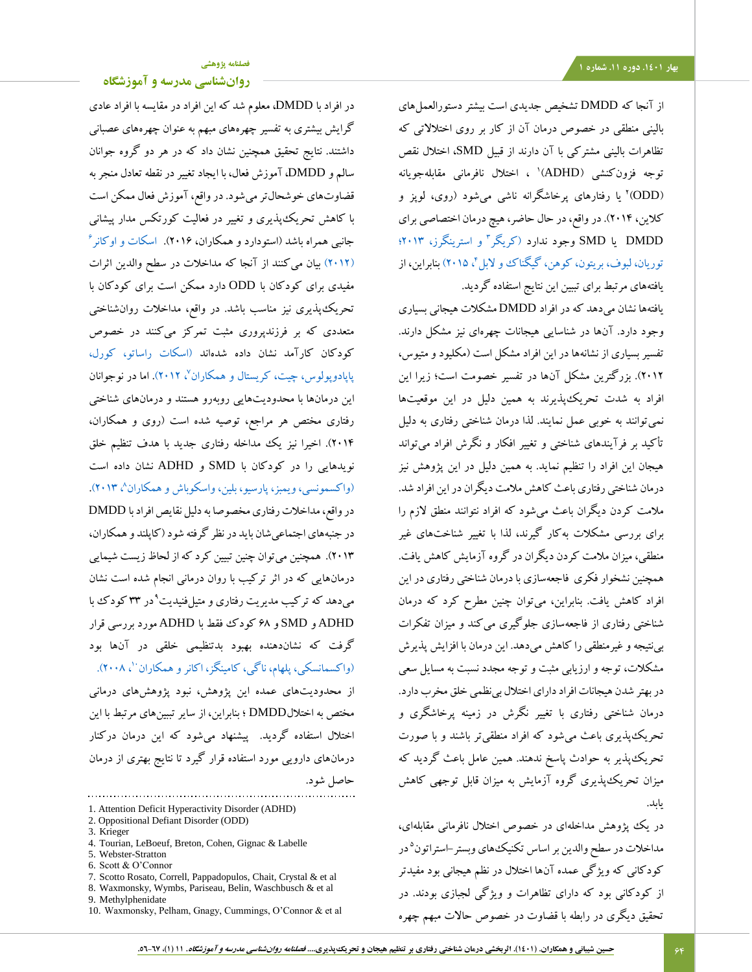از آنجا که DMDD تشخیص جدیدی است بیشتر دستورالعملهای بالینی منطقی در خصوص درمان آن از کار بر روی اختالالتی که تظاهرات بالینی مشترکی با آن دارند از قبیل SMD، اختالل نقص 1 توجه فزونکنشی )ADHD) ، اختالل نافرمانی مقابلهجویانه )ODD( 2 یا رفتارهای پرخاشگرانه ناشی میشود )روی، لوپز و کالین، 2014(. در واقع، در حال حاضر، هیچ درمان اختصاصی برای 3 DMDD یا SMD وجود ندارد )کریگر [و استرینگرز، 2013؛](#page-10-0) توریان، لبوف، بریتون، کوهن، گیگناک و لابل ٔ، ۲۰۱۵) بنابراین، از یافتههای مرتبط برای تببین این نتایج استفاده گردید.

یافتهها نشان میدهد که در افراد DMDD مشکالت هیجانی بسیاری وجود دارد. آنها در شناسایی هیجانات چهرهای نیز مشکل دارند. تفسیر بسیاری از نشانهها در این افراد مشکل است )مکلیود و متیوس، 2012(. بزرگترین مشکل آنها در تفسیر خصومت است؛ زیرا این افراد به شدت تحریکپذیرند به همین دلیل در این موقعیتها نمیتوانند به خوبی عمل نمایند. لذا درمان شناختی رفتاری به دلیل تأکید بر فرآیندهای شناختی و تغییر افکار و نگرش افراد میتواند هیجان این افراد را تنظیم نماید. به همین دلیل در این پژوهش نیز درمان شناختی رفتاری باعث کاهش مالمت دیگران در این افراد شد. مالمت کردن دیگران باعث میشود که افراد نتوانند منطق الزم را برای بررسی مشکالت بهکار گیرند، لذا با تغییر شناختهای غیر منطقی، میزان مالمت کردن دیگران در گروه آزمایش کاهش یافت. همچنین نشخوار فکری فاجعهسازی با درمان شناختی رفتاری در این افراد کاهش یافت. بنابراین، میتوان چنین مطرح کرد که درمان شناختی رفتاری از فاجعهسازی جلوگیری میکند و میزان تفکرات بینتیجه و غیرمنطقی را کاهش میدهد. این درمان با افزایش پذیرش مشکالت، توجه و ارزیابی مثبت و توجه مجدد نسبت به مسایل سعی در بهتر شدن هیجانات افراد دارای اختالل بینظمی خلق مخرب دارد. درمان شناختی رفتاری با تغییر نگرش در زمینه پرخاشگری و تحریکپذیری باعث میشود که افراد منطقیتر باشند و با صورت تحریکپذیر به حوادث پاسخ ندهند. همین عامل باعث گردید که میزان تحریکپذیری گروه آزمایش به میزان قابل توجهی کاهش یابد.

در یک پژوهش مداخلهای در خصوص اختلال نافرمانی مقابلهای، مداخلات در سطح والدین بر اساس تکنیکهای وبستر-استراتون<sup>۵</sup>در کودکانی که ویژگی عمده آنها اختالل در نظم هیجانی بود مفیدتر از کودکانی بود که دارای تظاهرات و ویژگی لجبازی بودند. در تحقیق دیگری در رابطه با قضاوت در خصوص حاالت مبهم چهره

### **[فصلنامه پژوهشی](http://jsp.uma.ac.ir/)**

**[روانشناسی مدرسه و آموزشگاه](http://jsp.uma.ac.ir/)**

در افراد با DMDD، معلوم شد که این افراد در مقایسه با افراد عادی گرایش بیشتری به تفسیر چهرههای مبهم به عنوان چهرههای عصبانی داشتند. نتایج تحقیق همچنین نشان داد که در هر دو گروه جوانان سالم و DMDD، آموزش فعال، با ایجاد تغییر در نقطه تعادل منجر به قضاوتهای خوشحالتر میشود. در واقع، آموزش فعال ممکن است با کاهش تحریکپذیری و تغییر در فعالیت کورتکس مدار پیشانی جانبی همراه باشد (استودارد و همکاران، ۲۰۱۶)[. اسکات و اوکانر](#page-11-6)<sup>۶</sup> [\)2012\(](#page-11-6) بیان میکنند از آنجا که مداخالت در سطح والدین اثرات مفیدی برای کودکان با ODD دارد ممکن است برای کودکان با تحریکپذیری نیز مناسب باشد. در واقع، مداخالت روانشناختی متعددی که بر فرزندپروری مثبت تمرکز میکنند در خصوص کودکان کارآمد نشان داده شدهاند [\)اسکات راساتو، کورل،](#page-11-7)  [پاپادوپولوس، چیت، کریستال و همکاران](#page-11-7)<sup>، ۲</sup>۰۱۲). اما در نوجوانان این درمانها با محدودیتهایی روبهرو هستند و درمانهای شناختی رفتاری مختص هر مراجع، توصیه شده است )روی و همکاران، 2014(. اخیرا نیز یک مداخله رفتاری جدید با هدف تنظیم خلق نویدهایی را در کودکان با SMD و ADHD نشان داده است (واکسمونسی، ویمبز، پارسیو، بلین، واسکوباش و همکاران^، ۲۰۱۳). در واقع، مداخالت رفتاری مخصوصا به دلیل نقایص افراد با DMDD در جنبههای اجتماعیشان باید در نظر گرفته شود )کاپلند و همکاران، 2013(. همچنین میتوان چنین تبیین کرد که از لحاظ زیست شیمایی درمانهایی که در اثر ترکیب با روان درمانی انجام شده است نشان میدهد که ترکیب مدیریت رفتاری و متیلفنیدیت ْ در ۳۳ کودک با ADHD و SMD و 68 کودک فقط با ADHD مورد بررسی قرار گرفت که نشاندهنده بهبود بدتنظیمی خلقی در آنها بود (واکسمانسکی، پلهام، ناگی، کامینگز، اکانر و همکاران ۱، ۲۰۰۸). از محدودیتهای عمده این پژوهش، نبود پژوهشهای درمانی مختص به اختاللDMDD ؛ بنابراین، از سایر تببینهای مرتبط با این اختالل استفاده گردید. پیشنهاد میشود که این درمان درکنار درمانهای دارویی مورد استفاده قرار گیرد تا نتایج بهتری از درمان

حاصل شود.

- 4. Tourian, LeBoeuf, Breton, Cohen, Gignac & Labelle
- 5. Webster-Stratton
- 6. Scott & O'Connor
- 7. Scotto Rosato, Correll, Pappadopulos, Chait, Crystal & et al
- 8. Waxmonsky, Wymbs, Pariseau, Belin, Waschbusch & et al
- 9. Methylphenidate
- 10. Waxmonsky, Pelham, Gnagy, Cummings, O'Connor & et al

<sup>1.</sup> Attention Deficit Hyperactivity Disorder (ADHD)

<sup>2.</sup> Oppositional Defiant Disorder (ODD)

<sup>3.</sup> Krieger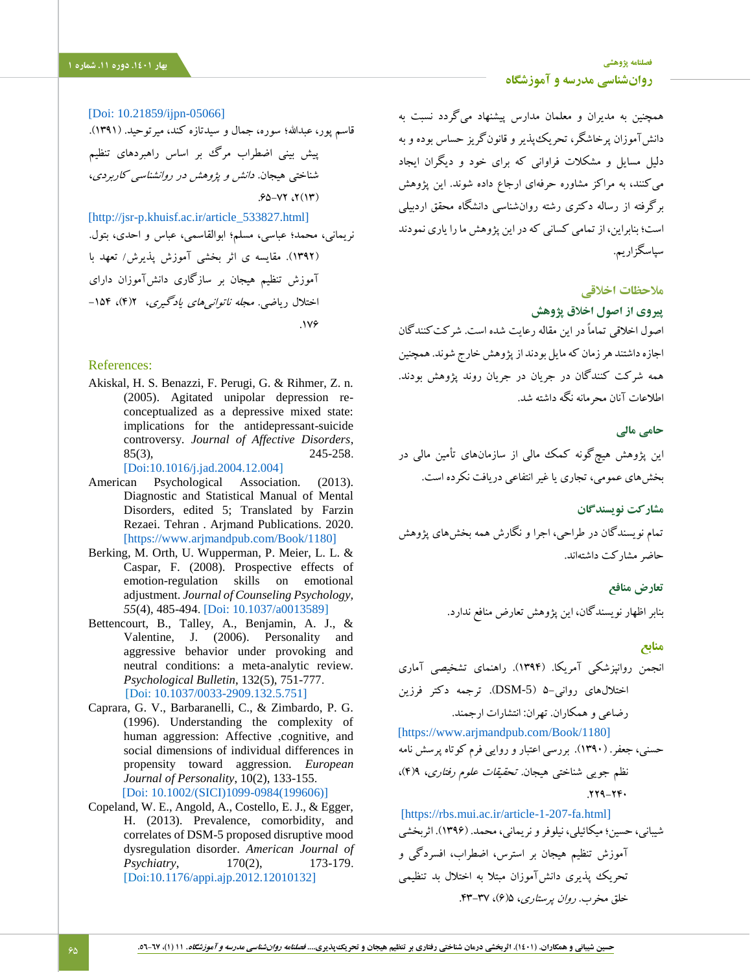<span id="page-9-8"></span>[\[Doi: 10.21859/ijpn-05066\]](http://ijpn.ir/article-1-993-en.html) قاسم پور، عبدالله؛ سوره، جمال و سیدتازه کند، میرتوحید. (۱۳۹۱). پیش بینی اضطراب مرگ بر اساس راهبردهای تنظیم شناختی هیجان. دانش و پژوهش در روانشناسی کاربردی،  $.90 - YY \cdot Y(Y)$ [\[http://jsr-p.khuisf.ac.ir/article\\_533827.html\]](https://www.sid.ir/fa/Journal/ViewPaper.aspx?ID=174708) نریمانی، محمد؛ عباسی، مسلم؛ ابوالقاسمی، عباس و احدی، بتول. )1392(. مقایسه ی اثر بخشی آموزش پذیرش/ تعهد با آموزش تنظیم هیجان بر سازگاری دانشآموزان دارای اختلال ریاضی. *مجله ناتوانیهای یادگیری*، ۲(۴)، ۱۵۴-.176

#### References:

<span id="page-9-2"></span>Akiskal, H. S. Benazzi, F. Perugi, G. & Rihmer, Z. n. (2005). Agitated unipolar depression reconceptualized as a depressive mixed state: implications for the antidepressant-suicide controversy. *Journal of Affective Disorders*, 85(3), 245-258.

[\[Doi:10.1016/j.jad.2004.12.004\]](https://doi.org/10.1016/j.jad.2004.12.004)

- American Psychological Association. (2013). Diagnostic and Statistical Manual of Mental Disorders, edited 5; Translated by Farzin Rezaei. Tehran . Arjmand Publications. 2020. [\[https://www.arjmandpub.com/Book/1180\]](https://www.arjmandpub.com/Book/1180)
- <span id="page-9-4"></span>Berking, M. Orth, U. Wupperman, P. Meier, L. L. & Caspar, F. (2008). Prospective effects of emotion-regulation skills on emotional adjustment. *Journal of Counseling Psychology, 55*(4), 485-494. [\[Doi: 10.1037/a0013589\]](https://doi.org/10.1037/a0013589)
- <span id="page-9-1"></span>Bettencourt, B., Talley, A., Benjamin, A. J., & Valentine, J. (2006). Personality and aggressive behavior under provoking and neutral conditions: a meta-analytic review. *Psychological Bulletin*, 132(5), 751-777. [Doi: 10.1037/0033-2909.132.5.751]
- <span id="page-9-0"></span>Caprara, G. V., Barbaranelli, C., & Zimbardo, P. G. (1996). Understanding the complexity of human aggression: Affective ,cognitive, and social dimensions of individual differences in propensity toward aggression. *European Journal of Personality*, 10(2), 133-155. [\[Doi: 10.1002/\(SICI\)1099-0984\(199606\)\]](https://doi.org/10.1002/(SICI)1099-0984(199606)10:2%3c133::AID-PER252%3e3.0.CO;2-E)
- <span id="page-9-5"></span>Copeland, W. E., Angold, A., Costello, E. J., & Egger, H. (2013). Prevalence, comorbidity, and correlates of DSM-5 proposed disruptive mood dysregulation disorder. *American Journal of Psychiatry*, 170(2), 173-179. [Doi[:10.1176/appi.ajp.2012.12010132\]](https://doi.org/10.1176/appi.ajp.2012.12010132)

همچنین به مدیران و معلمان مدارس پیشنهاد میگردد نسبت به دانشآموزان پرخاشگر، تحریکپذیر و قانونگریز حساس بوده و به دلیل مسایل و مشکالت فراوانی که برای خود و دیگران ایجاد میکنند، به مراکز مشاوره حرفهای ارجاع داده شوند. این پژوهش برگرفته از رساله دکتری رشته روانشناسی دانشگاه محقق اردبیلی است؛ بنابراین، از تمامی کسانی که در این پژوهش ما را یاری نمودند سپاسگزاریم.

# **مالحظات اخالقی**

### **پیروی از اصول اخالق پژوهش**

اصول اخالقی تماماً در این مقاله رعایت شده است. شرکتکنندگان اجازه داشتند هر زمان که مایل بودند از پژوهش خارج شوند. همچنین همه شرکت کنندگان در جریان در جریان روند پژوهش بودند. اطالعات آنان محرمانه نگه داشته شد.

### **حامی مالی**

این پژوهش هیچگونه کمک مالی از سازمانهای تأمین مالی در بخشهای عمومی، تجاری یا غیر انتفاعی دریافت نکرده است.

**مشارکت نویسندگان**

تمام نویسندگان در طراحی، اجرا و نگارش همه بخشهای پژوهش حاضر مشارکت داشتهاند.

> **تعارض منافع** بنابر اظهار نویسندگان، این پژوهش تعارض منافع ندارد.

### **منابع**

<span id="page-9-3"></span>انجمن روانپزشکی آمریکا. )1394(. راهنمای تشخیصی آماری اختاللهای روانی5- )-5DSM). ترجمه دکتر فرزین رضاعی و همکاران. تهران: انتشارات ارجمند.

<span id="page-9-7"></span>[\[https://www.arjmandpub.com/Book/1180\]](https://www.arjmandpub.com/Book/1180) حسنی، جعفر. )1390(. بررسی اعتبار و روایی فرم کوتاه پرسش نامه نظم جویی شناختی هیجان. تحقیقات علوم رفتاری، 9)4(،  $.779 - YF$ 

<span id="page-9-6"></span>[\[https://rbs.mui.ac.ir/article-1-207-fa.html\]](https://rbs.mui.ac.ir/article-1-207-fa.html) شیبانی، حسین؛ میکائیلی، نیلوفر و نریمانی، محمد. )1396(. اثربخشی آموزش تنظیم هیجان بر استرس، اضطراب، افسردگی و تحریک پذیری دانشآموزان مبتال به اختالل بد تنظیمی خلق مخرب. ر*وان پرستاری*، ۶/۵)، ۳۷-۴۳.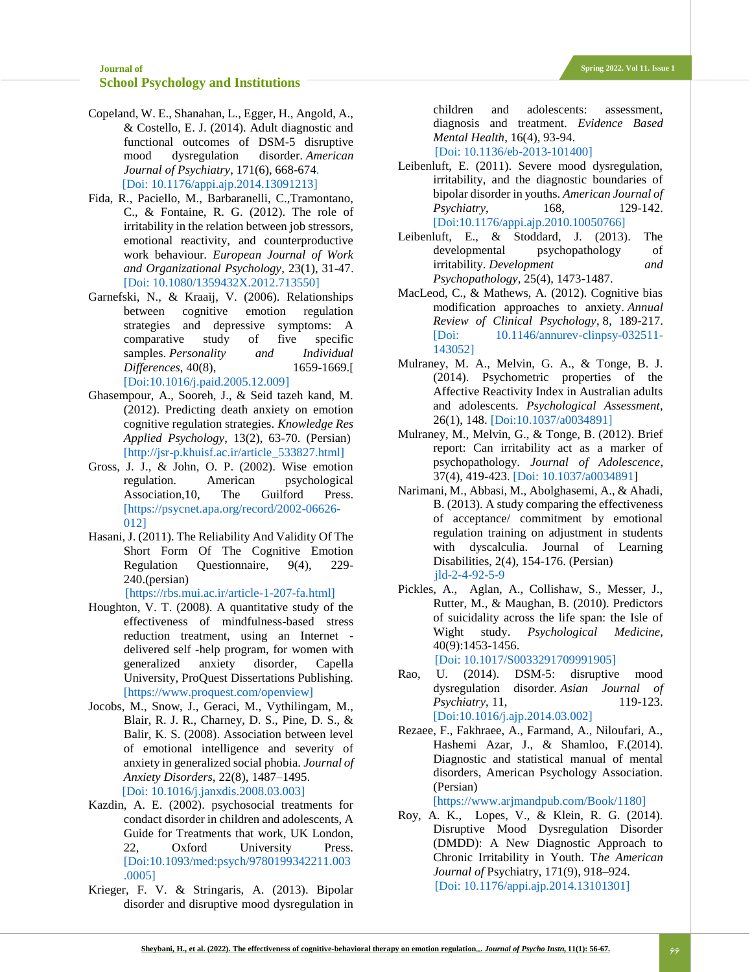- <span id="page-10-7"></span>Copeland, W. E., Shanahan, L., Egger, H., Angold, A., & Costello, E. J. (2014). Adult diagnostic and functional outcomes of DSM-5 disruptive mood dysregulation disorder. *American Journal of Psychiatry*, 171(6), 668-674. [Doi: 10.1176/appi.ajp.2014.13091213]
- <span id="page-10-1"></span>Fida, R., Paciello, M., Barbaranelli, C.,Tramontano, C., & Fontaine, R. G. (2012). The role of irritability in the relation between job stressors, emotional reactivity, and counterproductive work behaviour. *European Journal of Work and Organizational Psychology*, 23(1), 31-47. [\[Doi: 10.1080/1359432X.2012.713550\]](https://doi.org/10.1080/1359432X.2012.713550)
- <span id="page-10-9"></span>Garnefski, N., & Kraaij, V. (2006). Relationships between cognitive emotion regulation strategies and depressive symptoms: A comparative study of five specific samples. *Personality and Individual Differences*, 40(8), 1659-1669.[ [\[Doi:10.1016/j.paid.2005.12.009\]](https://psycnet.apa.org/doi/10.1016/j.paid.2005.12.009)
- Ghasempour, A., Sooreh, J., & Seid tazeh kand, M. (2012). Predicting death anxiety on emotion cognitive regulation strategies. *Knowledge Res Applied Psychology*, 13(2), 63-70. (Persian[\)](https://www.sid.ir/fa/Journal/ViewPaper.aspx?ID=174708) [\[http://jsr-p.khuisf.ac.ir/article\\_533827.html\]](https://www.sid.ir/fa/Journal/ViewPaper.aspx?ID=174708)
- <span id="page-10-10"></span>Gross, J. J., & John, O. P. (2002). Wise emotion regulation. American psychological Association,10, The Guilford Press. [\[https://psycnet.apa.org/record/2002-06626-](file:///C:/Users/user/Downloads/%5bhttps:/psycnet.apa.org/record/2002-06626-012%5d) [012\]](file:///C:/Users/user/Downloads/%5bhttps:/psycnet.apa.org/record/2002-06626-012%5d)
- Hasani, J. (2011). The Reliability And Validity Of The Short Form Of The Cognitive Emotion Regulation Questionnaire, 9(4), 229- 240.(persian)

[\[https://rbs.mui.ac.ir/article-1-207-fa.html\]](https://rbs.mui.ac.ir/article-1-207-fa.html)

- <span id="page-10-12"></span>Houghton, V. T. (2008). A quantitative study of the effectiveness of mindfulness-based stress reduction treatment, using an Internet delivered self -help program, for women with generalized anxiety disorder, Capella University, ProQuest Dissertations Publishing. [\[https://www.proquest.com/openview\]](https://www.proquest.com/openview/0748fa74216e62137f5307d5fdb97101/1?pq-origsite=gscholar&cbl=18750)
- <span id="page-10-14"></span>Jocobs, M., Snow, J., Geraci, M., Vythilingam, M., Blair, R. J. R., Charney, D. S., Pine, D. S., & Balir, K. S. (2008). Association between level of emotional intelligence and severity of anxiety in generalized social phobia. *Journal of Anxiety Disorders,* 22(8), 1487–1495. [\[Doi: 10.1016/j.janxdis.2008.03.003\]](https://dx.doi.org/10.1016%2Fj.janxdis.2008.03.003)
- <span id="page-10-11"></span>Kazdin, A. E. (2002). psychosocial treatments for condact disorder in children and adolescents, A Guide for Treatments that work, UK London, 22, Oxford University Press. [\[Doi:10.1093/med:psych/9780199342211.003](https://www.oxfordclinicalpsych.com/view/10.1093/med:psych/9780199342211.001.0001/med-9780199342211-chapter-5) [.0005\]](https://www.oxfordclinicalpsych.com/view/10.1093/med:psych/9780199342211.001.0001/med-9780199342211-chapter-5)
- <span id="page-10-0"></span>Krieger, F. V. & Stringaris, A. (2013). Bipolar disorder and disruptive mood dysregulation in

children and adolescents: assessment, diagnosis and treatment. *Evidence Based Mental Health*, 16(4), 93-94.

[Doi: 10.1136/eb-2013-101400]

- <span id="page-10-4"></span>Leibenluft, E. (2011). Severe mood dysregulation, irritability, and the diagnostic boundaries of bipolar disorder in youths. *American Journal of Psychiatry*, 168, 129-142. [Doi[:10.1176/appi.ajp.2010.10050766\]](https://doi.org/10.1176/appi.ajp.2010.10050766)
- <span id="page-10-8"></span>Leibenluft, E., & Stoddard, J. (2013). The developmental psychopathology of irritability. *Development and Psychopathology*, 25(4), 1473-1487.
- <span id="page-10-3"></span>MacLeod, C., & Mathews, A. (2012). Cognitive bias modification approaches to anxiety. *Annual Review of Clinical Psychology*, 8, 189-217. [Doi: [10.1146/annurev-clinpsy-032511-](https://doi.org/10.1146/annurev-clinpsy-032511-143052) [143052\]](https://doi.org/10.1146/annurev-clinpsy-032511-143052)
- <span id="page-10-6"></span>Mulraney, M. A., Melvin, G. A., & Tonge, B. J. (2014). Psychometric properties of the Affective Reactivity Index in Australian adults and adolescents. *Psychological Assessment*, 26(1), 148. [\[Doi:10.1037/a0034891\]](https://psycnet.apa.org/doi/10.1037/a0034891)
- Mulraney, M., Melvin, G., & Tonge, B. (2012). Brief report: Can irritability act as a marker of psychopathology. *Journal of Adolescence*, 37(4), 419-423. [\[Doi: 10.1037/a0034891\]](https://psycnet.apa.org/doi/10.1037/a0034891)
- Narimani, M., Abbasi, M., Abolghasemi, A., & Ahadi, B. (2013). A study comparing the effectiveness of acceptance/ commitment by emotional regulation training on adjustment in students with dyscalculia. Journal of Learning Disabilities, 2(4), 154-176. (Persian) [jld-2-4-92-5-9](file:///C:/Users/AliSalmaniPsychology/OneDrive/دسکتاپ/مقاله%20های%20اساتید/مقالات%20مجله%20روانشناسی%20مدرسه/Spring%20Edit%201401/Spring%201401/jld-2-4-92-5-9)
- <span id="page-10-5"></span>Pickles, A., Aglan, A., Collishaw, S., Messer, J., Rutter, M., & Maughan, B. (2010). Predictors of suicidality across the life span: the Isle of Wight study. *Psychological Medicine*, 40(9):1453-1456. [Doi: 10.1017/S0033291709991905]
- <span id="page-10-2"></span>Rao, U. (2014). DSM-5: disruptive mood dysregulation disorder. *Asian Journal of Psychiatry*, 11, 119-123. [Doi[:10.1016/j.ajp.2014.03.002\]](https://doi.org/10.1016/j.ajp.2014.03.002)
- Rezaee, F., Fakhraee, A., Farmand, A., Niloufari, A., Hashemi Azar, J., & Shamloo, F.(2014). Diagnostic and statistical manual of mental disorders, American Psychology Association. (Persian)

[\[https://www.arjmandpub.com/Book/1180\]](https://www.arjmandpub.com/Book/1180)

<span id="page-10-13"></span>Roy, A. K., Lopes, V., & Klein, R. G. (2014). Disruptive Mood Dysregulation Disorder (DMDD): A New Diagnostic Approach to Chronic Irritability in Youth. T*he American Journal of* Psychiatry, 171(9), 918–924. [Doi: 10.1176/appi.ajp.2014.13101301]